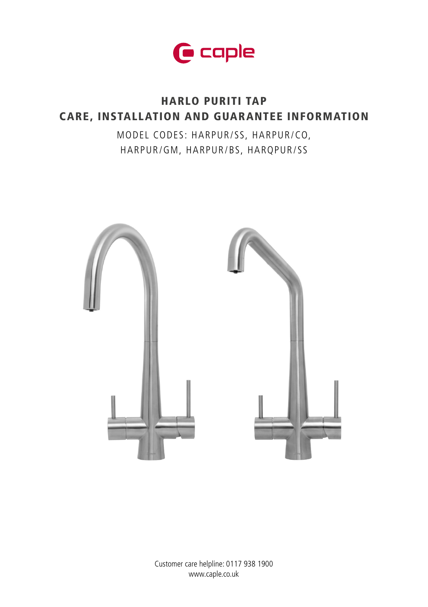

# HARLO PURITI TAP CARE, INSTALLATION AND GUARANTEE INFORMATION

MODEL CODES: HARPUR/SS, HARPUR/CO, HARPUR/GM, HARPUR/BS, HARQPUR/SS

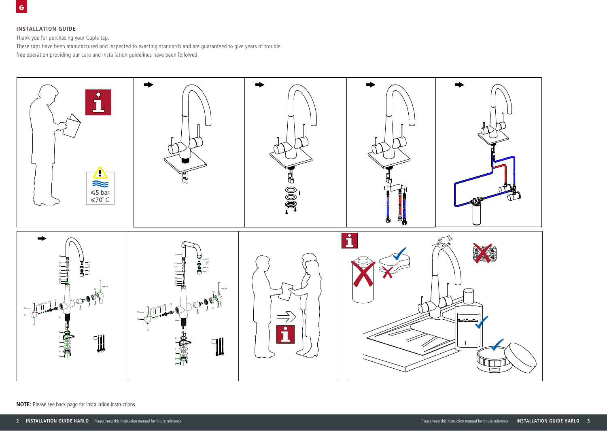# **INSTALLATION GUIDE**

Thank you for purchasing your Caple tap.

These taps have been manufactured and inspected to exacting standards and are guaranteed to give years of trouble free operation providing our care and installation guidelines have been followed.



**NOTE:** Please see back page for installation instructions